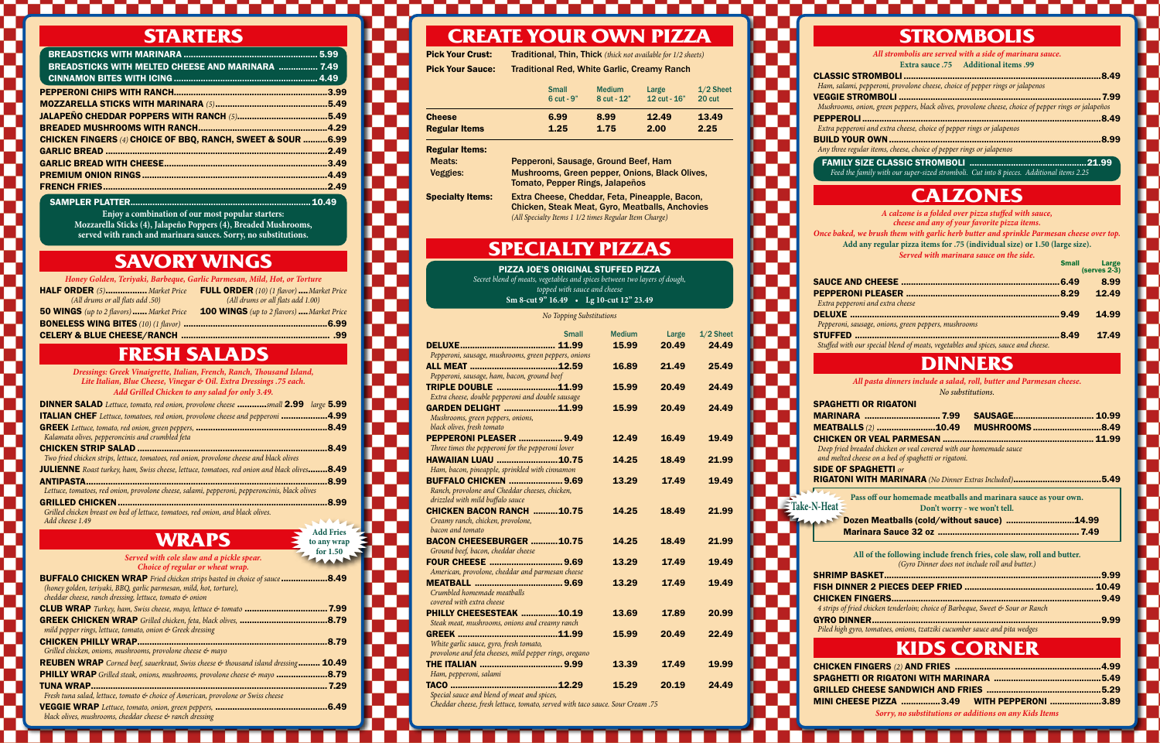### **STARTERS**

T

**COLLEGE** 

a de la

a da san T

| <b>BREADSTICKS WITH MELTED CHEESE AND MARINARA  7.49</b>                |                                                   |
|-------------------------------------------------------------------------|---------------------------------------------------|
|                                                                         |                                                   |
|                                                                         | .3.99                                             |
|                                                                         | .5.49                                             |
|                                                                         | 5.49                                              |
|                                                                         | .4.29                                             |
| <b>CHICKEN FINGERS (4) CHOICE OF BBQ, RANCH, SWEET &amp; SOUR  6.99</b> |                                                   |
|                                                                         | .2.49                                             |
|                                                                         | .3.49                                             |
|                                                                         | .4.49                                             |
|                                                                         | .2.49                                             |
| ASSESSMENT APPEAL                                                       | $\lambda$ $\lambda$ $\lambda$ $\lambda$ $\lambda$ |

SAMPLER PLATTER..........................................................................10.49 **Enjoy a combination of our most popular starters: Mozzarella Sticks (4), Jalapeño Poppers (4), Breaded Mushrooms,** 

# **served with ranch and marinara sauces. Sorry, no substitutions.**

## **SAVORY WINGS**

| Honey Golden, Teriyaki, Barbeque, Garlic Parmesan, Mild, Hot, or Torture |                                                  |  |
|--------------------------------------------------------------------------|--------------------------------------------------|--|
| HALF ORDER (5) Market Price                                              | <b>FULL ORDER</b> (10) (1 flavor)  Market Price  |  |
| (All drums or all flats add .50)                                         | (All drums or all flats add 1.00)                |  |
| <b>50 WINGS</b> (up to 2 flavors)  Market Price                          | <b>100 WINGS</b> (up to 2 flavors)  Market Price |  |
|                                                                          |                                                  |  |
|                                                                          |                                                  |  |

## **FRESH SALADS**

*Dressings: Greek Vinaigrette, Italian, French, Ranch, Thousand Island, Lite Italian, Blue Cheese, Vinegar & Oil. Extra Dressings .75 each. Add Grilled Chicken to any salad for only 3.49.*

| <b>DINNER SALAD</b> Lettuce, tomato, red onion, provolone cheese small 2.99 large 5.99         |       |
|------------------------------------------------------------------------------------------------|-------|
| <b>ITALIAN CHEF</b> Lettuce, tomatoes, red onion, provolone cheese and pepperoni 4.99          |       |
|                                                                                                | .8.49 |
| Kalamata olives, pepperoncinis and crumbled feta                                               |       |
|                                                                                                | 8.49  |
| Two fried chicken strips, lettuce, tomatoes, red onion, provolone cheese and black olives      |       |
| JULIENNE Roast turkey, ham, Swiss cheese, lettuce, tomatoes, red onion and black olives8.49    |       |
|                                                                                                | 8.99  |
| Lettuce, tomatoes, red onion, provolone cheese, salami, pepperoni, pepperoncinis, black olives |       |

GRILLED CHICKEN......................................................................................8.99 *Grilled chicken breast on bed of lettuce, tomatoes, red onion, and black olives. Add cheese 1.49*

### **WRAPS**

| WKAPS                                                                                     | to any wrap |
|-------------------------------------------------------------------------------------------|-------------|
|                                                                                           | for $1.50$  |
| Served with cole slaw and a pickle spear.<br>Choice of regular or wheat wrap.             |             |
| <b>BUFFALO CHICKEN WRAP</b> Fried chicken strips basted in choice of sauce                | 8.49        |
| (honey golden, teriyaki, BBQ, garlic parmesan, mild, hot, torture),                       |             |
| cheddar cheese, ranch dressing, lettuce, tomato & onion                                   |             |
| <b>CLUB WRAP</b> Turkey, ham, Swiss cheese, mayo, lettuce $\mathfrak{G}$ tomato           | 7.99        |
| <b>GREEK CHICKEN WRAP</b> Grilled chicken, feta, black olives,                            | 8.79        |
| mild pepper rings, lettuce, tomato, onion & Greek dressing                                |             |
| <b>CHICKEN PHILLY WRAP.</b>                                                               | .8.79       |
| Grilled chicken, onions, mushrooms, provolone cheese $\phi$ mayo                          |             |
| <b>REUBEN WRAP</b> Corned beef, sauerkraut, Swiss cheese $\phi$ thousand island dressing. | 10.49       |
| <b>PHILLY WRAP</b> Grilled steak, onions, mushrooms, provolone cheese & mayo.             | 8.79        |
| <b>TUNA WRAP</b>                                                                          | 7.29        |
| Fresh tuna salad, lettuce, tomato & choice of American, provolone or Swiss cheese         |             |
| <b>VEGGIE WRAP</b> Lettuce, tomato, onion, green peppers, .                               | 6.49        |
| black olives, mushrooms, cheddar cheese & ranch dressing                                  |             |

**Add Fries** 

## **CREATE YOUR OWN PIZZA**

Pick Your Crust: Traditional, Thin, Thick *(thick not available for 1/2 sheets)* Pick Your Sauce: Traditional Red, White Garlic, Creamy Ranch

|                      | <b>Small</b><br>$6$ cut - $9"$ | <b>Medium</b><br>8 cut - 12" | Large<br>12 $cut - 16"$ | $1/2$ Sheet<br>20 cut |
|----------------------|--------------------------------|------------------------------|-------------------------|-----------------------|
| <b>Cheese</b>        | 6.99                           | 8.99                         | 12.49                   | 13.49                 |
| <b>Regular Items</b> | 1.25                           | 1.75                         | 2.00                    | 2.25                  |

#### Regular Items:

Meats: Pepperoni, Sausage, Ground Beef, Ham

Veggies: Mushrooms, Green pepper, Onions, Black Olives, Tomato, Pepper Rings, Jalapeños Specialty Items: Extra Cheese, Cheddar, Feta, Pineapple, Bacon,

Chicken, Steak Meat, Gyro, Meatballs, Anchovies *(All Specialty Items 1 1/2 times Regular Item Charge)*

### **SPECIALTY PIZZAS**

PIZZA JOE'S ORIGINAL STUFFED PIZZA *Secret blend of meats, vegetables and spices between two layers of dough, topped with sauce and cheese* 

**Sm 8-cut 9" 16.49 • Lg 10-cut 12" 23.49** 

*No Topping Substitutions*

| <b>Small</b>                                                                                                       | <b>Medium</b> | Large | $1/2$ Sheet |
|--------------------------------------------------------------------------------------------------------------------|---------------|-------|-------------|
|                                                                                                                    | 15.99         | 20.49 | 24.49       |
| Pepperoni, sausage, mushrooms, green peppers, onions<br>Pepperoni, sausage, ham, bacon, ground beef                | 16.89         | 21.49 | 25.49       |
| TRIPLE DOUBLE 11.99<br>Extra cheese, double pepperoni and double sausage                                           | 15.99         | 20.49 | 24.49       |
| <b>GARDEN DELIGHT 11.99</b><br>Mushrooms, green peppers, onions,<br>black olives, fresh tomato                     | 15.99         | 20.49 | 24.49       |
| <b>PEPPERONI PLEASER  9.49</b><br>Three times the pepperoni for the pepperoni lover                                | 12.49         | 16.49 | 19.49       |
| <b>HAWAIIAN LUAU 10.75</b><br>Ham, bacon, pineapple, sprinkled with cinnamon                                       | 14.25         | 18.49 | 21.99       |
| <b>BUFFALO CHICKEN  9.69</b><br>Ranch, provolone and Cheddar cheeses, chicken,<br>drizzled with mild buffalo sauce | 13.29         | 17.49 | 19.49       |
| <b>CHICKEN BACON RANCH 10.75</b><br>Creamy ranch, chicken, provolone,<br>bacon and tomato                          | 14.25         | 18.49 | 21.99       |
| <b>BACON CHEESEBURGER 10.75</b><br>Ground beef, bacon, cheddar cheese                                              | 14.25         | 18.49 | 21.99       |
| <b>FOUR CHEESE  9.69</b><br>American, provolone, cheddar and parmesan cheese                                       | 13.29         | 17.49 | 19.49       |
| Crumbled homemade meatballs<br>covered with extra cheese                                                           | 13.29         | 17.49 | 19.49       |
| PHILLY CHEESESTEAK 10.19<br>Steak meat, mushrooms, onions and creamy ranch                                         | 13.69         | 17.89 | 20.99       |
| White garlic sauce, gyro, fresh tomato,<br>provolone and feta cheeses, mild pepper rings, oregano                  | 15.99         | 20.49 | 22.49       |
| Ham, pepperoni, salami                                                                                             | 13.39         | 17.49 | 19.99       |
| Special sauce and blend of meat and spices,                                                                        | 15.29         | 20.19 | 24.49       |
| Cheddar cheese, fresh lettuce, tomato, served with taco sauce. Sour Cream .75                                      |               |       |             |

| <b>STROMBOLIS</b>                                        |
|----------------------------------------------------------|
| All strombolis are served with a side of marinara sauce. |
| <b>Extra sauce .75</b> Additional items .99              |
| .8.49                                                    |

| Ham, salami, pepperoni, provolone cheese, choice of pepper rings or jalapenos                        |        |
|------------------------------------------------------------------------------------------------------|--------|
|                                                                                                      | . 7.99 |
| Mushrooms, onion, green peppers, black olives, provolone cheese, choice of pepper rings or jalapeños |        |
|                                                                                                      |        |
| Extra pepperoni and extra cheese, choice of pepper rings or jalapenos                                |        |
|                                                                                                      | .8.99  |
| Any three regular items, cheese, choice of pepper rings or jalapenos                                 |        |
|                                                                                                      |        |

FAMILY SIZE CLASSIC STROMBOLI ................................................21.99 *Feed the family with our super-sized stromboli. Cut into 8 pieces. Additional items 2.25* 

### **CALZONES**

| A calzone is a folded over pizza stuffed with sauce,<br>cheese and any of your favorite pizza items. |                         |
|------------------------------------------------------------------------------------------------------|-------------------------|
| Once baked, we brush them with garlic herb butter and sprinkle Parmesan cheese over top.             |                         |
| Add any regular pizza items for .75 (individual size) or 1.50 (large size).                          |                         |
| Served with marinara sauce on the side.                                                              |                         |
| <b>Small</b>                                                                                         | Large<br>$(serves 2-3)$ |
| 6.49<br><b>SAUCE AND CHEESE ……</b>                                                                   | 8.99                    |
| 8.29                                                                                                 | 12.49                   |
| Extra pepperoni and extra cheese                                                                     |                         |
| <b>DELUXE</b><br>9.49                                                                                | 14.99                   |

STUFFED ....................................................................................8.49 17.49 *Stuffed with our special blend of meats, vegetables and spices, sauce and cheese.*



n mana

n a

n di

n Ti

GRILLED **MINI CHE** 

### **DINNERS**

*All pasta dinners include a salad, roll, butter and Parmesan cheese.*

*No substitutions.*

| 91 AMILLI I YR RIMAI YRI                                                                                                   |                                                                 |       |
|----------------------------------------------------------------------------------------------------------------------------|-----------------------------------------------------------------|-------|
| <b>MARINARA  7.99</b>                                                                                                      | <b>SAUSAGE</b>                                                  | 10.99 |
|                                                                                                                            | <b>MUSHROOMS8.49</b>                                            |       |
|                                                                                                                            |                                                                 | 11.99 |
| Deep fried breaded chicken or veal covered with our homemade sauce<br>and melted cheese on a bed of spaghetti or rigatoni. |                                                                 |       |
| SIDE OF SPAGHETTI or                                                                                                       |                                                                 |       |
|                                                                                                                            |                                                                 | .5.49 |
| <b>All Angeles</b>                                                                                                         | Pass off our homemade meatballs and marinara sauce as your own. |       |
| $N$ -Heat $\equiv$                                                                                                         | Don't worry - we won't tell.                                    |       |
| <b>ANTI</b>                                                                                                                |                                                                 | 14.99 |
|                                                                                                                            |                                                                 |       |

|--|--|--|

**All of the following include french fries, cole slaw, roll and butter.** *(Gyro Dinner does not include roll and butter.)*

| 4 strips of fried chicken tenderloin; choice of Barbeque, Sweet & Sour or Ranch |  |
|---------------------------------------------------------------------------------|--|
|                                                                                 |  |
| Diled high gure tomatoes, quique tratgibi cucumher squee and pita wedges        |  |

## **KIDS CORNER**

| MINI        CHEESE PIZZA           ………………3.49             WITH PEPPERONI      …………………3.89 |                                                        |  |
|-------------------------------------------------------------------------------------------|--------------------------------------------------------|--|
|                                                                                           | Sorry, no substitutions or additions on any Kids Items |  |